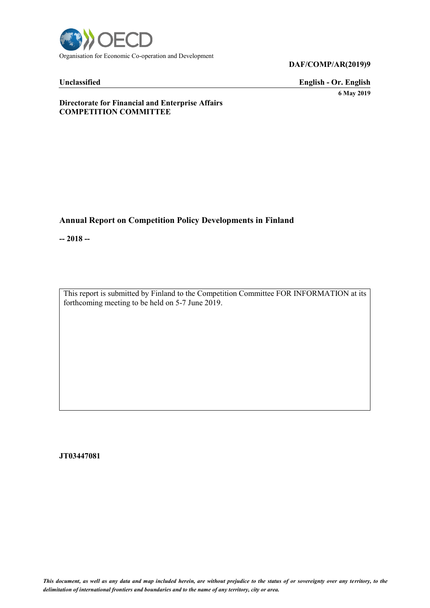

## **Unclassified English - Or. English 6 May 2019**

#### **Directorate for Financial and Enterprise Affairs COMPETITION COMMITTEE**

# **Annual Report on Competition Policy Developments in Finland**

**-- 2018 --**

This report is submitted by Finland to the Competition Committee FOR INFORMATION at its forthcoming meeting to be held on 5-7 June 2019.

**JT03447081**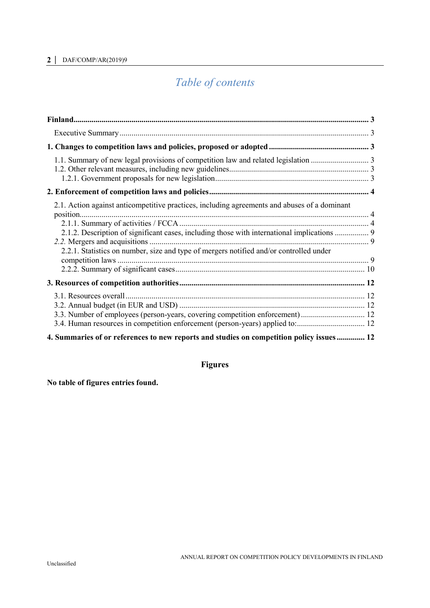# *Table of contents*

| 2.1. Action against anticompetitive practices, including agreements and abuses of a dominant<br>2.1.2. Description of significant cases, including those with international implications  9<br>2.2.1. Statistics on number, size and type of mergers notified and/or controlled under |  |
|---------------------------------------------------------------------------------------------------------------------------------------------------------------------------------------------------------------------------------------------------------------------------------------|--|
|                                                                                                                                                                                                                                                                                       |  |
| 3.4. Human resources in competition enforcement (person-years) applied to: 12                                                                                                                                                                                                         |  |
| 4. Summaries of or references to new reports and studies on competition policy issues 12                                                                                                                                                                                              |  |

# **Figures**

# **No table of figures entries found.**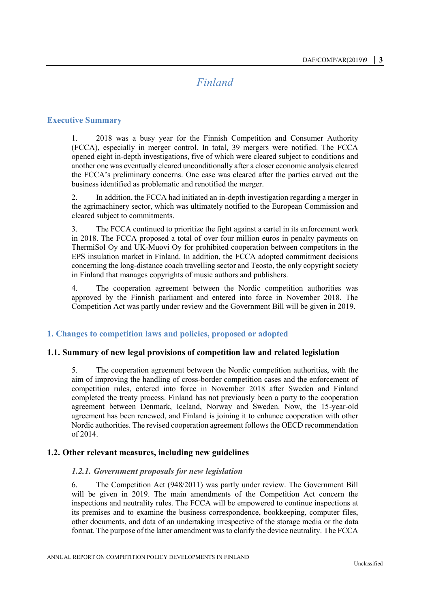# *Finland*

#### <span id="page-2-1"></span><span id="page-2-0"></span>**Executive Summary**

1. 2018 was a busy year for the Finnish Competition and Consumer Authority (FCCA), especially in merger control. In total, 39 mergers were notified. The FCCA opened eight in-depth investigations, five of which were cleared subject to conditions and another one was eventually cleared unconditionally after a closer economic analysis cleared the FCCA's preliminary concerns. One case was cleared after the parties carved out the business identified as problematic and renotified the merger.

2. In addition, the FCCA had initiated an in-depth investigation regarding a merger in the agrimachinery sector, which was ultimately notified to the European Commission and cleared subject to commitments.

3. The FCCA continued to prioritize the fight against a cartel in its enforcement work in 2018. The FCCA proposed a total of over four million euros in penalty payments on ThermiSol Oy and UK-Muovi Oy for prohibited cooperation between competitors in the EPS insulation market in Finland. In addition, the FCCA adopted commitment decisions concerning the long-distance coach travelling sector and Teosto, the only copyright society in Finland that manages copyrights of music authors and publishers.

4. The cooperation agreement between the Nordic competition authorities was approved by the Finnish parliament and entered into force in November 2018. The Competition Act was partly under review and the Government Bill will be given in 2019.

#### <span id="page-2-2"></span>**1. Changes to competition laws and policies, proposed or adopted**

#### <span id="page-2-3"></span>**1.1. Summary of new legal provisions of competition law and related legislation**

5. The cooperation agreement between the Nordic competition authorities, with the aim of improving the handling of cross-border competition cases and the enforcement of competition rules, entered into force in November 2018 after Sweden and Finland completed the treaty process. Finland has not previously been a party to the cooperation agreement between Denmark, Iceland, Norway and Sweden. Now, the 15-year-old agreement has been renewed, and Finland is joining it to enhance cooperation with other Nordic authorities. The revised cooperation agreement follows the OECD recommendation of 2014.

#### <span id="page-2-5"></span><span id="page-2-4"></span>**1.2. Other relevant measures, including new guidelines**

#### *1.2.1. Government proposals for new legislation*

6. The Competition Act (948/2011) was partly under review. The Government Bill will be given in 2019. The main amendments of the Competition Act concern the inspections and neutrality rules. The FCCA will be empowered to continue inspections at its premises and to examine the business correspondence, bookkeeping, computer files, other documents, and data of an undertaking irrespective of the storage media or the data format. The purpose of the latter amendment was to clarify the device neutrality. The FCCA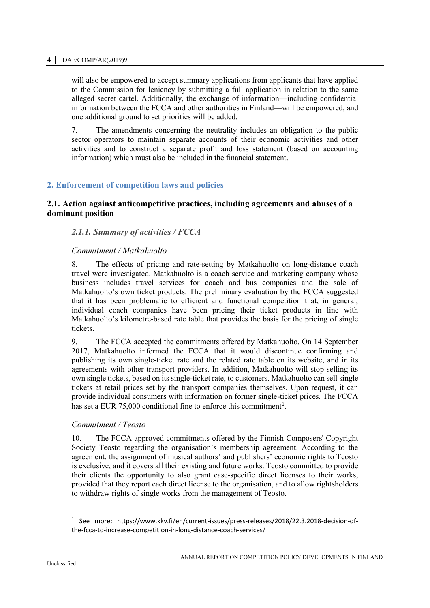will also be empowered to accept summary applications from applicants that have applied to the Commission for leniency by submitting a full application in relation to the same alleged secret cartel. Additionally, the exchange of information—including confidential information between the FCCA and other authorities in Finland—will be empowered, and one additional ground to set priorities will be added.

7. The amendments concerning the neutrality includes an obligation to the public sector operators to maintain separate accounts of their economic activities and other activities and to construct a separate profit and loss statement (based on accounting information) which must also be included in the financial statement.

# <span id="page-3-0"></span>**2. Enforcement of competition laws and policies**

# <span id="page-3-1"></span>**2.1. Action against anticompetitive practices, including agreements and abuses of a dominant position**

# <span id="page-3-2"></span>*2.1.1. Summary of activities / FCCA*

# *Commitment / Matkahuolto*

8. The effects of pricing and rate-setting by Matkahuolto on long-distance coach travel were investigated. Matkahuolto is a coach service and marketing company whose business includes travel services for coach and bus companies and the sale of Matkahuolto's own ticket products. The preliminary evaluation by the FCCA suggested that it has been problematic to efficient and functional competition that, in general, individual coach companies have been pricing their ticket products in line with Matkahuolto's kilometre-based rate table that provides the basis for the pricing of single tickets.

9. The FCCA accepted the commitments offered by Matkahuolto. On 14 September 2017, Matkahuolto informed the FCCA that it would discontinue confirming and publishing its own single-ticket rate and the related rate table on its website, and in its agreements with other transport providers. In addition, Matkahuolto will stop selling its own single tickets, based on its single-ticket rate, to customers. Matkahuolto can sell single tickets at retail prices set by the transport companies themselves. Upon request, it can provide individual consumers with information on former single-ticket prices. The FCCA has set a EUR  $75,000$  conditional fine to enforce this commitment<sup>1</sup>.

#### *Commitment / Teosto*

10. The FCCA approved commitments offered by the Finnish Composers' Copyright Society Teosto regarding the organisation's membership agreement. According to the agreement, the assignment of musical authors' and publishers' economic rights to Teosto is exclusive, and it covers all their existing and future works. Teosto committed to provide their clients the opportunity to also grant case-specific direct licenses to their works, provided that they report each direct license to the organisation, and to allow rightsholders to withdraw rights of single works from the management of Teosto.

<sup>&</sup>lt;sup>1</sup> See more: https://www.kkv.fi/en/current-issues/press-releases/2018/22.3.2018-decision-ofthe-fcca-to-increase-competition-in-long-distance-coach-services/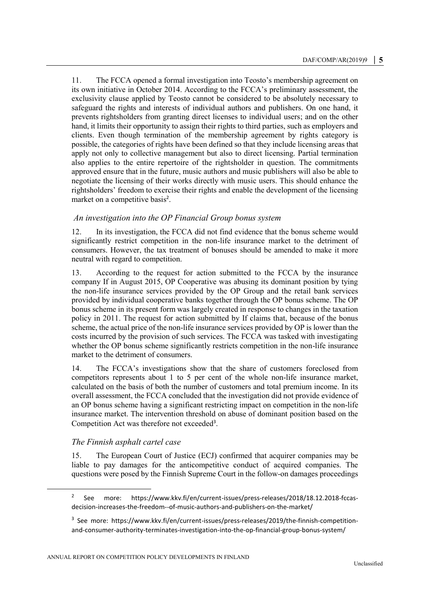11. The FCCA opened a formal investigation into Teosto's membership agreement on its own initiative in October 2014. According to the FCCA's preliminary assessment, the exclusivity clause applied by Teosto cannot be considered to be absolutely necessary to safeguard the rights and interests of individual authors and publishers. On one hand, it prevents rightsholders from granting direct licenses to individual users; and on the other hand, it limits their opportunity to assign their rights to third parties, such as employers and clients. Even though termination of the membership agreement by rights category is possible, the categories of rights have been defined so that they include licensing areas that apply not only to collective management but also to direct licensing. Partial termination also applies to the entire repertoire of the rightsholder in question. The commitments approved ensure that in the future, music authors and music publishers will also be able to negotiate the licensing of their works directly with music users. This should enhance the rightsholders' freedom to exercise their rights and enable the development of the licensing market on a competitive basis<sup>2</sup>.

#### *An investigation into the OP Financial Group bonus system*

12. In its investigation, the FCCA did not find evidence that the bonus scheme would significantly restrict competition in the non-life insurance market to the detriment of consumers. However, the tax treatment of bonuses should be amended to make it more neutral with regard to competition.

13. According to the request for action submitted to the FCCA by the insurance company If in August 2015, OP Cooperative was abusing its dominant position by tying the non-life insurance services provided by the OP Group and the retail bank services provided by individual cooperative banks together through the OP bonus scheme. The OP bonus scheme in its present form was largely created in response to changes in the taxation policy in 2011. The request for action submitted by If claims that, because of the bonus scheme, the actual price of the non-life insurance services provided by OP is lower than the costs incurred by the provision of such services. The FCCA was tasked with investigating whether the OP bonus scheme significantly restricts competition in the non-life insurance market to the detriment of consumers.

14. The FCCA's investigations show that the share of customers foreclosed from competitors represents about 1 to 5 per cent of the whole non-life insurance market, calculated on the basis of both the number of customers and total premium income. In its overall assessment, the FCCA concluded that the investigation did not provide evidence of an OP bonus scheme having a significant restricting impact on competition in the non-life insurance market. The intervention threshold on abuse of dominant position based on the Competition Act was therefore not exceeded<sup>3</sup>.

#### *The Finnish asphalt cartel case*

 $\overline{a}$ 

15. The European Court of Justice (ECJ) confirmed that acquirer companies may be liable to pay damages for the anticompetitive conduct of acquired companies. The questions were posed by the Finnish Supreme Court in the follow-on damages proceedings

<sup>2</sup> See more: https://www.kkv.fi/en/current-issues/press-releases/2018/18.12.2018-fccasdecision-increases-the-freedom--of-music-authors-and-publishers-on-the-market/

<sup>&</sup>lt;sup>3</sup> See more: https://www.kkv.fi/en/current-issues/press-releases/2019/the-finnish-competitionand-consumer-authority-terminates-investigation-into-the-op-financial-group-bonus-system/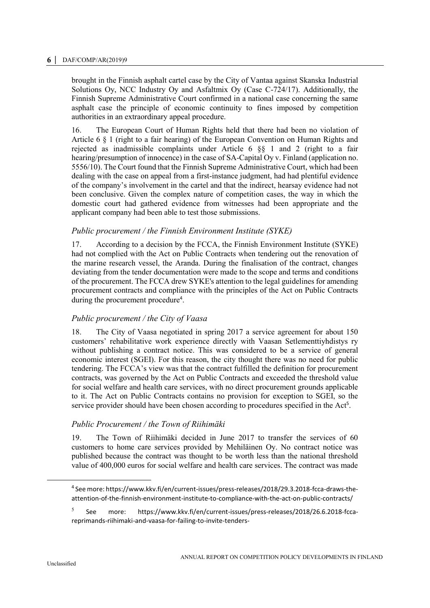brought in the Finnish asphalt cartel case by the City of Vantaa against Skanska Industrial Solutions Oy, NCC Industry Oy and Asfaltmix Oy (Case C-724/17). Additionally, the Finnish Supreme Administrative Court confirmed in a national case concerning the same asphalt case the principle of economic continuity to fines imposed by competition authorities in an extraordinary appeal procedure.

16. The European Court of Human Rights held that there had been no violation of Article 6 § 1 (right to a fair hearing) of the European Convention on Human Rights and rejected as inadmissible complaints under Article 6 §§ 1 and 2 (right to a fair hearing/presumption of innocence) in the case of SA-Capital Oy v. Finland (application no. 5556/10). The Court found that the Finnish Supreme Administrative Court, which had been dealing with the case on appeal from a first-instance judgment, had had plentiful evidence of the company's involvement in the cartel and that the indirect, hearsay evidence had not been conclusive. Given the complex nature of competition cases, the way in which the domestic court had gathered evidence from witnesses had been appropriate and the applicant company had been able to test those submissions.

#### *Public procurement / the Finnish Environment Institute (SYKE)*

17. According to a decision by the FCCA, the Finnish Environment Institute (SYKE) had not complied with the Act on Public Contracts when tendering out the renovation of the marine research vessel, the Aranda. During the finalisation of the contract, changes deviating from the tender documentation were made to the scope and terms and conditions of the procurement. The FCCA drew SYKE's attention to the legal guidelines for amending procurement contracts and compliance with the principles of the Act on Public Contracts during the procurement procedure<sup>4</sup>.

# *Public procurement / the City of Vaasa*

18. The City of Vaasa negotiated in spring 2017 a service agreement for about 150 customers' rehabilitative work experience directly with Vaasan Setlementtiyhdistys ry without publishing a contract notice. This was considered to be a service of general economic interest (SGEI). For this reason, the city thought there was no need for public tendering. The FCCA's view was that the contract fulfilled the definition for procurement contracts, was governed by the Act on Public Contracts and exceeded the threshold value for social welfare and health care services, with no direct procurement grounds applicable to it. The Act on Public Contracts contains no provision for exception to SGEI, so the service provider should have been chosen according to procedures specified in the Act<sup>5</sup>.

#### *Public Procurement / the Town of Riihimäki*

19. The Town of Riihimäki decided in June 2017 to transfer the services of 60 customers to home care services provided by Mehiläinen Oy. No contract notice was published because the contract was thought to be worth less than the national threshold value of 400,000 euros for social welfare and health care services. The contract was made

<sup>4</sup> See more: https://www.kkv.fi/en/current-issues/press-releases/2018/29.3.2018-fcca-draws-theattention-of-the-finnish-environment-institute-to-compliance-with-the-act-on-public-contracts/

<sup>5</sup> See more: https://www.kkv.fi/en/current-issues/press-releases/2018/26.6.2018-fccareprimands-riihimaki-and-vaasa-for-failing-to-invite-tenders-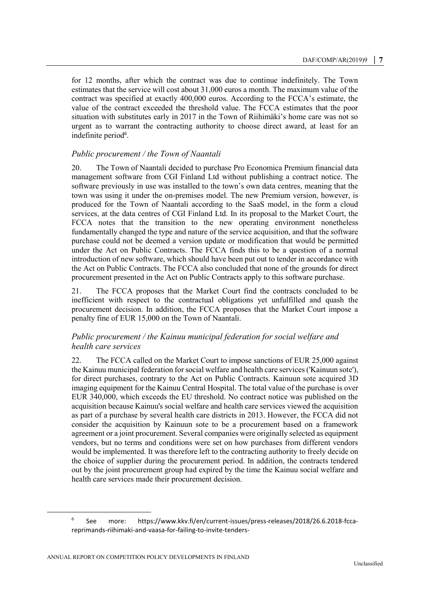for 12 months, after which the contract was due to continue indefinitely. The Town estimates that the service will cost about 31,000 euros a month. The maximum value of the contract was specified at exactly 400,000 euros. According to the FCCA's estimate, the value of the contract exceeded the threshold value. The FCCA estimates that the poor situation with substitutes early in 2017 in the Town of Riihimäki's home care was not so urgent as to warrant the contracting authority to choose direct award, at least for an indefinite period<sup>6</sup>.

#### *Public procurement / the Town of Naantali*

20. The Town of Naantali decided to purchase Pro Economica Premium financial data management software from CGI Finland Ltd without publishing a contract notice. The software previously in use was installed to the town's own data centres, meaning that the town was using it under the on-premises model. The new Premium version, however, is produced for the Town of Naantali according to the SaaS model, in the form a cloud services, at the data centres of CGI Finland Ltd. In its proposal to the Market Court, the FCCA notes that the transition to the new operating environment nonetheless fundamentally changed the type and nature of the service acquisition, and that the software purchase could not be deemed a version update or modification that would be permitted under the Act on Public Contracts. The FCCA finds this to be a question of a normal introduction of new software, which should have been put out to tender in accordance with the Act on Public Contracts. The FCCA also concluded that none of the grounds for direct procurement presented in the Act on Public Contracts apply to this software purchase.

21. The FCCA proposes that the Market Court find the contracts concluded to be inefficient with respect to the contractual obligations yet unfulfilled and quash the procurement decision. In addition, the FCCA proposes that the Market Court impose a penalty fine of EUR 15,000 on the Town of Naantali.

# *Public procurement / the Kainuu municipal federation for social welfare and health care services*

22. The FCCA called on the Market Court to impose sanctions of EUR 25,000 against the Kainuu municipal federation for social welfare and health care services ('Kainuun sote'), for direct purchases, contrary to the Act on Public Contracts. Kainuun sote acquired 3D imaging equipment for the Kainuu Central Hospital. The total value of the purchase is over EUR 340,000, which exceeds the EU threshold. No contract notice was published on the acquisition because Kainuu's social welfare and health care services viewed the acquisition as part of a purchase by several health care districts in 2013. However, the FCCA did not consider the acquisition by Kainuun sote to be a procurement based on a framework agreement or a joint procurement. Several companies were originally selected as equipment vendors, but no terms and conditions were set on how purchases from different vendors would be implemented. It was therefore left to the contracting authority to freely decide on the choice of supplier during the procurement period. In addition, the contracts tendered out by the joint procurement group had expired by the time the Kainuu social welfare and health care services made their procurement decision.

<sup>6</sup> See more: https://www.kkv.fi/en/current-issues/press-releases/2018/26.6.2018-fccareprimands-riihimaki-and-vaasa-for-failing-to-invite-tenders-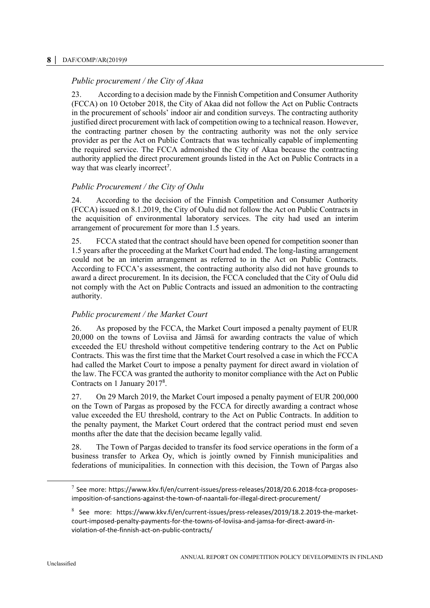# *Public procurement / the City of Akaa*

23. According to a decision made by the Finnish Competition and Consumer Authority (FCCA) on 10 October 2018, the City of Akaa did not follow the Act on Public Contracts in the procurement of schools' indoor air and condition surveys. The contracting authority justified direct procurement with lack of competition owing to a technical reason. However, the contracting partner chosen by the contracting authority was not the only service provider as per the Act on Public Contracts that was technically capable of implementing the required service. The FCCA admonished the City of Akaa because the contracting authority applied the direct procurement grounds listed in the Act on Public Contracts in a way that was clearly incorrect<sup>7</sup>.

# *Public Procurement / the City of Oulu*

24. According to the decision of the Finnish Competition and Consumer Authority (FCCA) issued on 8.1.2019, the City of Oulu did not follow the Act on Public Contracts in the acquisition of environmental laboratory services. The city had used an interim arrangement of procurement for more than 1.5 years.

25. FCCA stated that the contract should have been opened for competition sooner than 1.5 years after the proceeding at the Market Court had ended. The long-lasting arrangement could not be an interim arrangement as referred to in the Act on Public Contracts. According to FCCA's assessment, the contracting authority also did not have grounds to award a direct procurement. In its decision, the FCCA concluded that the City of Oulu did not comply with the Act on Public Contracts and issued an admonition to the contracting authority.

# *Public procurement / the Market Court*

26. As proposed by the FCCA, the Market Court imposed a penalty payment of EUR 20,000 on the towns of Loviisa and Jämsä for awarding contracts the value of which exceeded the EU threshold without competitive tendering contrary to the Act on Public Contracts. This was the first time that the Market Court resolved a case in which the FCCA had called the Market Court to impose a penalty payment for direct award in violation of the law. The FCCA was granted the authority to monitor compliance with the Act on Public Contracts on 1 January 2017<sup>8</sup> .

27. On 29 March 2019, the Market Court imposed a penalty payment of EUR 200,000 on the Town of Pargas as proposed by the FCCA for directly awarding a contract whose value exceeded the EU threshold, contrary to the Act on Public Contracts. In addition to the penalty payment, the Market Court ordered that the contract period must end seven months after the date that the decision became legally valid.

28. The Town of Pargas decided to transfer its food service operations in the form of a business transfer to Arkea Oy, which is jointly owned by Finnish municipalities and federations of municipalities. In connection with this decision, the Town of Pargas also

 $\overline{a}$ 

 $^7$  See more: https://www.kkv.fi/en/current-issues/press-releases/2018/20.6.2018-fcca-proposesimposition-of-sanctions-against-the-town-of-naantali-for-illegal-direct-procurement/

 $8$  See more: https://www.kkv.fi/en/current-issues/press-releases/2019/18.2.2019-the-marketcourt-imposed-penalty-payments-for-the-towns-of-loviisa-and-jamsa-for-direct-award-inviolation-of-the-finnish-act-on-public-contracts/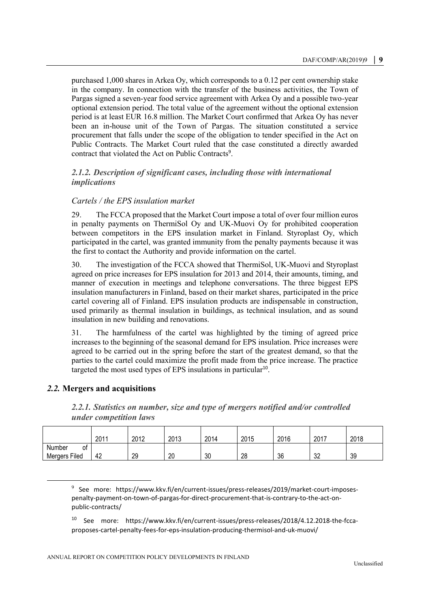purchased 1,000 shares in Arkea Oy, which corresponds to a 0.12 per cent ownership stake in the company. In connection with the transfer of the business activities, the Town of Pargas signed a seven-year food service agreement with Arkea Oy and a possible two-year optional extension period. The total value of the agreement without the optional extension period is at least EUR 16.8 million. The Market Court confirmed that Arkea Oy has never been an in-house unit of the Town of Pargas. The situation constituted a service procurement that falls under the scope of the obligation to tender specified in the Act on Public Contracts. The Market Court ruled that the case constituted a directly awarded contract that violated the Act on Public Contracts<sup>9</sup>.

### <span id="page-8-0"></span>*2.1.2. Description of significant cases, including those with international implications*

#### *Cartels / the EPS insulation market*

29. The FCCA proposed that the Market Court impose a total of over four million euros in penalty payments on ThermiSol Oy and UK-Muovi Oy for prohibited cooperation between competitors in the EPS insulation market in Finland. Styroplast Oy, which participated in the cartel, was granted immunity from the penalty payments because it was the first to contact the Authority and provide information on the cartel.

30. The investigation of the FCCA showed that ThermiSol, UK-Muovi and Styroplast agreed on price increases for EPS insulation for 2013 and 2014, their amounts, timing, and manner of execution in meetings and telephone conversations. The three biggest EPS insulation manufacturers in Finland, based on their market shares, participated in the price cartel covering all of Finland. EPS insulation products are indispensable in construction, used primarily as thermal insulation in buildings, as technical insulation, and as sound insulation in new building and renovations.

31. The harmfulness of the cartel was highlighted by the timing of agreed price increases to the beginning of the seasonal demand for EPS insulation. Price increases were agreed to be carried out in the spring before the start of the greatest demand, so that the parties to the cartel could maximize the profit made from the price increase. The practice targeted the most used types of EPS insulations in particular<sup>10</sup>.

# <span id="page-8-2"></span><span id="page-8-1"></span>*2.2.* **Mergers and acquisitions**

 $\overline{a}$ 

*2.2.1. Statistics on number, size and type of mergers notified and/or controlled under competition laws*

|                                      | 201' | 2012 | 2013 | 2014 | 2015 | 2016 | 2017     | 2018 |
|--------------------------------------|------|------|------|------|------|------|----------|------|
| Number<br>0t<br><b>Mergers Filed</b> | 42   | 29   | 20   | 30   | 28   | 36   | 20<br>υZ | 39   |

<sup>&</sup>lt;sup>9</sup> See more: https://www.kkv.fi/en/current-issues/press-releases/2019/market-court-imposespenalty-payment-on-town-of-pargas-for-direct-procurement-that-is-contrary-to-the-act-onpublic-contracts/

<sup>10</sup> See more: https://www.kkv.fi/en/current-issues/press-releases/2018/4.12.2018-the-fccaproposes-cartel-penalty-fees-for-eps-insulation-producing-thermisol-and-uk-muovi/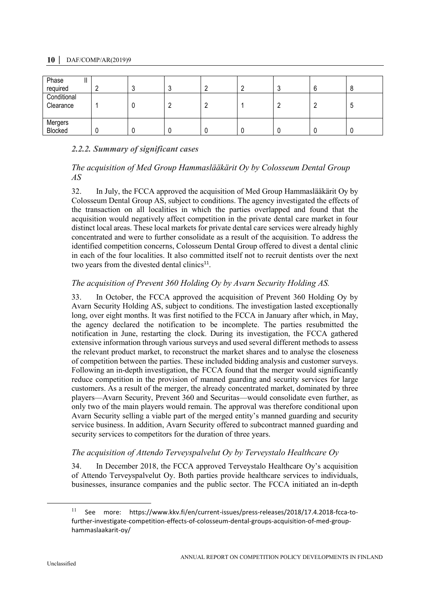| Phase<br>ш<br>required   |   |  |  | h |   |
|--------------------------|---|--|--|---|---|
| Conditional<br>Clearance | L |  |  |   | ა |
| Mergers<br>Blocked       |   |  |  |   |   |

# <span id="page-9-0"></span>*2.2.2. Summary of significant cases*

# *The acquisition of Med Group Hammaslääkärit Oy by Colosseum Dental Group AS*

32. In July, the FCCA approved the acquisition of Med Group Hammaslääkärit Oy by Colosseum Dental Group AS, subject to conditions. The agency investigated the effects of the transaction on all localities in which the parties overlapped and found that the acquisition would negatively affect competition in the private dental care market in four distinct local areas. These local markets for private dental care services were already highly concentrated and were to further consolidate as a result of the acquisition. To address the identified competition concerns, Colosseum Dental Group offered to divest a dental clinic in each of the four localities. It also committed itself not to recruit dentists over the next two years from the divested dental clinics<sup>11</sup>.

# *The acquisition of Prevent 360 Holding Oy by Avarn Security Holding AS.*

33. In October, the FCCA approved the acquisition of Prevent 360 Holding Oy by Avarn Security Holding AS, subject to conditions. The investigation lasted exceptionally long, over eight months. It was first notified to the FCCA in January after which, in May, the agency declared the notification to be incomplete. The parties resubmitted the notification in June, restarting the clock. During its investigation, the FCCA gathered extensive information through various surveys and used several different methods to assess the relevant product market, to reconstruct the market shares and to analyse the closeness of competition between the parties. These included bidding analysis and customer surveys. Following an in-depth investigation, the FCCA found that the merger would significantly reduce competition in the provision of manned guarding and security services for large customers. As a result of the merger, the already concentrated market, dominated by three players—Avarn Security, Prevent 360 and Securitas—would consolidate even further, as only two of the main players would remain. The approval was therefore conditional upon Avarn Security selling a viable part of the merged entity's manned guarding and security service business. In addition, Avarn Security offered to subcontract manned guarding and security services to competitors for the duration of three years.

# *The acquisition of Attendo Terveyspalvelut Oy by Terveystalo Healthcare Oy*

34. In December 2018, the FCCA approved Terveystalo Healthcare Oy's acquisition of Attendo Terveyspalvelut Oy. Both parties provide healthcare services to individuals, businesses, insurance companies and the public sector. The FCCA initiated an in-depth

 $\overline{a}$ 

<sup>&</sup>lt;sup>11</sup> See more: https://www.kkv.fi/en/current-issues/press-releases/2018/17.4.2018-fcca-tofurther-investigate-competition-effects-of-colosseum-dental-groups-acquisition-of-med-grouphammaslaakarit-oy/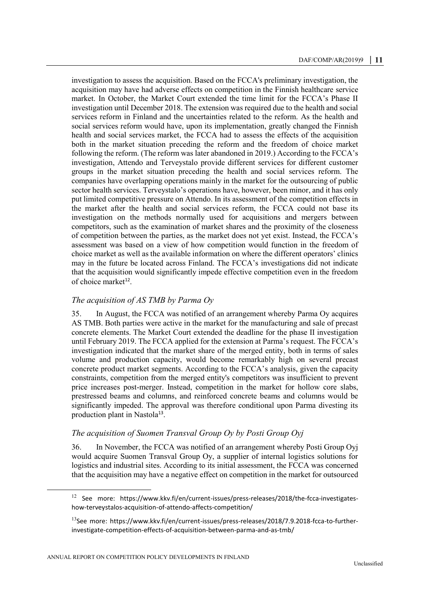investigation to assess the acquisition. Based on the FCCA's preliminary investigation, the acquisition may have had adverse effects on competition in the Finnish healthcare service market. In October, the Market Court extended the time limit for the FCCA's Phase II investigation until December 2018. The extension was required due to the health and social services reform in Finland and the uncertainties related to the reform. As the health and social services reform would have, upon its implementation, greatly changed the Finnish health and social services market, the FCCA had to assess the effects of the acquisition both in the market situation preceding the reform and the freedom of choice market following the reform. (The reform was later abandoned in 2019.) According to the FCCA's investigation, Attendo and Terveystalo provide different services for different customer groups in the market situation preceding the health and social services reform. The companies have overlapping operations mainly in the market for the outsourcing of public sector health services. Terveystalo's operations have, however, been minor, and it has only put limited competitive pressure on Attendo. In its assessment of the competition effects in the market after the health and social services reform, the FCCA could not base its investigation on the methods normally used for acquisitions and mergers between competitors, such as the examination of market shares and the proximity of the closeness of competition between the parties, as the market does not yet exist. Instead, the FCCA's assessment was based on a view of how competition would function in the freedom of choice market as well as the available information on where the different operators' clinics may in the future be located across Finland. The FCCA's investigations did not indicate that the acquisition would significantly impede effective competition even in the freedom of choice market<sup>12</sup>.

# *The acquisition of AS TMB by Parma Oy*

35. In August, the FCCA was notified of an arrangement whereby Parma Oy acquires AS TMB. Both parties were active in the market for the manufacturing and sale of precast concrete elements. The Market Court extended the deadline for the phase II investigation until February 2019. The FCCA applied for the extension at Parma's request. The FCCA's investigation indicated that the market share of the merged entity, both in terms of sales volume and production capacity, would become remarkably high on several precast concrete product market segments. According to the FCCA's analysis, given the capacity constraints, competition from the merged entity's competitors was insufficient to prevent price increases post-merger. Instead, competition in the market for hollow core slabs, prestressed beams and columns, and reinforced concrete beams and columns would be significantly impeded. The approval was therefore conditional upon Parma divesting its production plant in Nastola<sup>13</sup>.

# *The acquisition of Suomen Transval Group Oy by Posti Group Oyj*

36. In November, the FCCA was notified of an arrangement whereby Posti Group Oyj would acquire Suomen Transval Group Oy, a supplier of internal logistics solutions for logistics and industrial sites. According to its initial assessment, the FCCA was concerned that the acquisition may have a negative effect on competition in the market for outsourced

<sup>12</sup> See more: https://www.kkv.fi/en/current-issues/press-releases/2018/the-fcca-investigateshow-terveystalos-acquisition-of-attendo-affects-competition/

<sup>&</sup>lt;sup>13</sup>See more: https://www.kkv.fi/en/current-issues/press-releases/2018/7.9.2018-fcca-to-furtherinvestigate-competition-effects-of-acquisition-between-parma-and-as-tmb/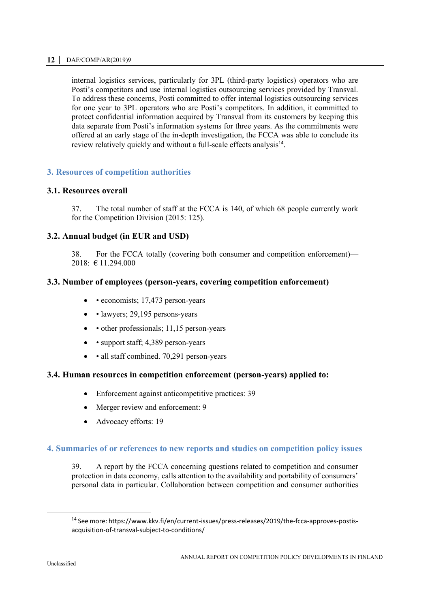internal logistics services, particularly for 3PL (third-party logistics) operators who are Posti's competitors and use internal logistics outsourcing services provided by Transval. To address these concerns, Posti committed to offer internal logistics outsourcing services for one year to 3PL operators who are Posti's competitors. In addition, it committed to protect confidential information acquired by Transval from its customers by keeping this data separate from Posti's information systems for three years. As the commitments were offered at an early stage of the in-depth investigation, the FCCA was able to conclude its review relatively quickly and without a full-scale effects analysis<sup>14</sup>.

# <span id="page-11-0"></span>**3. Resources of competition authorities**

#### <span id="page-11-1"></span>**3.1. Resources overall**

37. The total number of staff at the FCCA is 140, of which 68 people currently work for the Competition Division (2015: 125).

#### <span id="page-11-2"></span>**3.2. Annual budget (in EUR and USD)**

38. For the FCCA totally (covering both consumer and competition enforcement)— 2018: € 11.294.000

### <span id="page-11-3"></span>**3.3. Number of employees (person-years, covering competition enforcement)**

- $\bullet$  economists; 17,473 person-years
- lawyers; 29,195 persons-years
- other professionals; 11,15 person-years
- support staff; 4,389 person-years
- all staff combined. 70,291 person-years

# <span id="page-11-4"></span>**3.4. Human resources in competition enforcement (person-years) applied to:**

- Enforcement against anticompetitive practices: 39
- Merger review and enforcement: 9
- Advocacy efforts: 19

#### <span id="page-11-5"></span>**4. Summaries of or references to new reports and studies on competition policy issues**

39. A report by the FCCA concerning questions related to competition and consumer protection in data economy, calls attention to the availability and portability of consumers' personal data in particular. Collaboration between competition and consumer authorities

<sup>&</sup>lt;sup>14</sup> See more: https://www.kkv.fi/en/current-issues/press-releases/2019/the-fcca-approves-postisacquisition-of-transval-subject-to-conditions/